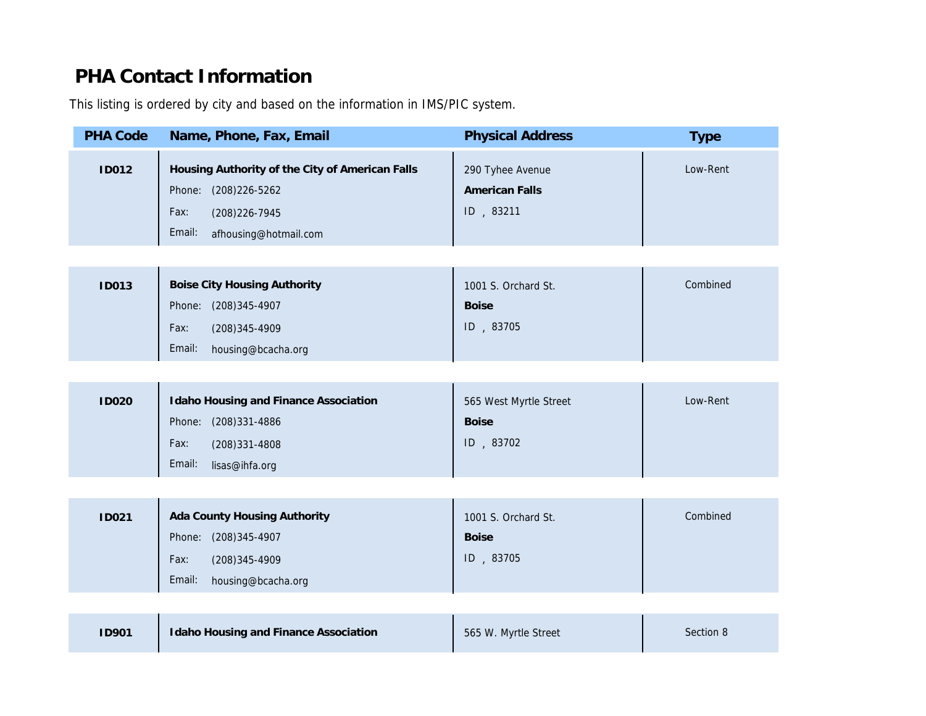## PHA Contact Information

This listing is ordered by city and based on the information in IMS/PIC system.

| <b>PHA Code</b> | Name, Phone, Fax, Email                                                                                                              | <b>Physical Address</b>                                | Type    |
|-----------------|--------------------------------------------------------------------------------------------------------------------------------------|--------------------------------------------------------|---------|
| <b>ID012</b>    | Housing Authority of the City of American Falls<br>Phone: (208)226-5262<br>Fax:<br>(208) 226-7945<br>Email:<br>afhousing@hotmail.com | 290 Tyhee Avenue<br><b>American Falls</b><br>ID, 83211 | Low-R   |
|                 |                                                                                                                                      |                                                        |         |
| <b>ID013</b>    | <b>Boise City Housing Authority</b><br>Phone: (208)345-4907<br>Fax:<br>(208) 345-4909<br>Email:<br>housing@bcacha.org                | 1001 S. Orchard St.<br><b>Boise</b><br>ID, 83705       | Combi   |
|                 |                                                                                                                                      |                                                        |         |
| <b>ID020</b>    | Idaho Housing and Finance Association<br>Phone: (208)331-4886<br>Fax:<br>(208)331-4808<br>Email:<br>lisas@ihfa.org                   | 565 West Myrtle Street<br><b>Boise</b><br>ID, 83702    | Low-R   |
|                 |                                                                                                                                      |                                                        |         |
| <b>ID021</b>    | Ada County Housing Authority<br>Phone: (208)345-4907<br>Fax:<br>(208) 345-4909<br>Email:<br>housing@bcacha.org                       | 1001 S. Orchard St.<br><b>Boise</b><br>ID, 83705       | Combi   |
|                 |                                                                                                                                      |                                                        |         |
| <b>ID901</b>    | Idaho Housing and Finance Association                                                                                                | 565 W. Myrtle Street                                   | Section |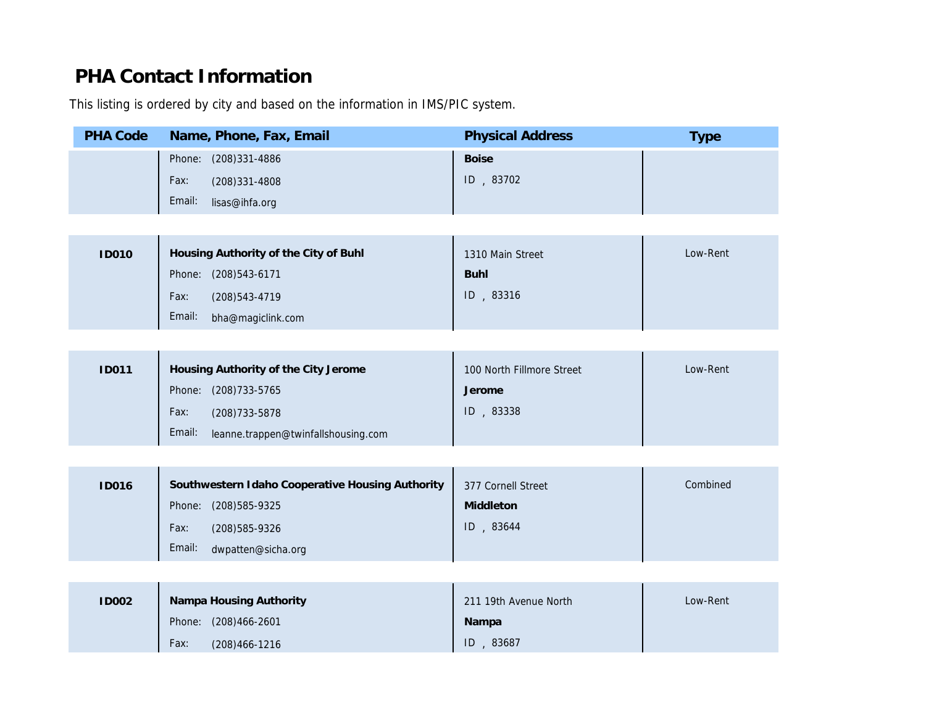## PHA Contact Information

This listing is ordered by city and based on the information in IMS/PIC system.

| <b>PHA Code</b> | Name, Phone, Fax, Email                          | <b>Physical Address</b>   | Type  |
|-----------------|--------------------------------------------------|---------------------------|-------|
|                 | Phone: (208)331-4886                             | <b>Boise</b>              |       |
|                 | Fax:<br>(208)331-4808                            | ID, 83702                 |       |
|                 | Email:<br>lisas@ihfa.org                         |                           |       |
|                 |                                                  |                           |       |
| <b>ID010</b>    | Housing Authority of the City of Buhl            | 1310 Main Street          | Low-R |
|                 | Phone: (208)543-6171                             | <b>Buhl</b>               |       |
|                 | (208) 543-4719<br>Fax:                           | ID, 83316                 |       |
|                 | Email:<br>bha@magiclink.com                      |                           |       |
|                 |                                                  |                           |       |
| <b>ID011</b>    | Housing Authority of the City Jerome             | 100 North Fillmore Street | Low-R |
|                 | Phone: (208)733-5765                             | Jerome                    |       |
|                 | Fax:<br>(208) 733-5878                           | ID, 83338                 |       |
|                 | Email:<br>leanne.trappen@twinfallshousing.com    |                           |       |
|                 |                                                  |                           |       |
| <b>ID016</b>    | Southwestern Idaho Cooperative Housing Authority | 377 Cornell Street        | Combi |
|                 | Phone: (208)585-9325                             | Middleton                 |       |
|                 | Fax:<br>(208) 585-9326                           | ID, 83644                 |       |
|                 | Email:<br>dwpatten@sicha.org                     |                           |       |
|                 |                                                  |                           |       |
|                 |                                                  |                           | Low-R |
| <b>ID002</b>    | Nampa Housing Authority<br>Phone: (208)466-2601  | 211 19th Avenue North     |       |
|                 | Fax:                                             | Nampa<br>ID, 83687        |       |
|                 | (208) 466-1216                                   |                           |       |